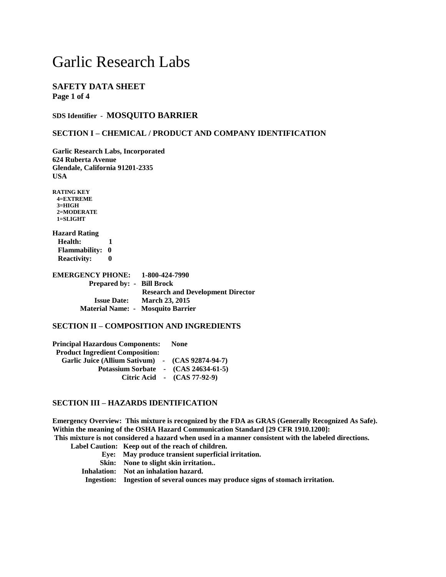# **SAFETY DATA SHEET Page 1 of 4**

#### **SDS Identifier - MOSQUITO BARRIER**

#### **SECTION I – CHEMICAL / PRODUCT AND COMPANY IDENTIFICATION**

**Garlic Research Labs, Incorporated 624 Ruberta Avenue Glendale, California 91201-2335 USA**

**RATING KEY 4=EXTREME 3=HIGH 2=MODERATE 1=SLIGHT**

**Hazard Rating Health: 1 Flammability: 0 Reactivity: 0**

**EMERGENCY PHONE: 1-800-424-7990 Prepared by: - Bill Brock Research and Development Director Issue Date: March 23, 2015 Material Name: - Mosquito Barrier**

### **SECTION II – COMPOSITION AND INGREDIENTS**

**Principal Hazardous Components: None Product Ingredient Composition: Garlic Juice (Allium Sativum) - (CAS 92874-94-7) Potassium Sorbate - (CAS 24634-61-5) Citric Acid - (CAS 77-92-9)**

#### **SECTION III – HAZARDS IDENTIFICATION**

**Emergency Overview: This mixture is recognized by the FDA as GRAS (Generally Recognized As Safe). Within the meaning of the OSHA Hazard Communication Standard [29 CFR 1910.1200]: This mixture is not considered a hazard when used in a manner consistent with the labeled directions.**

 **Label Caution: Keep out of the reach of children.** 

- **Eye: May produce transient superficial irritation.**
- **Skin: None to slight skin irritation..**
- **Inhalation: Not an inhalation hazard.**

 **Ingestion: Ingestion of several ounces may produce signs of stomach irritation.**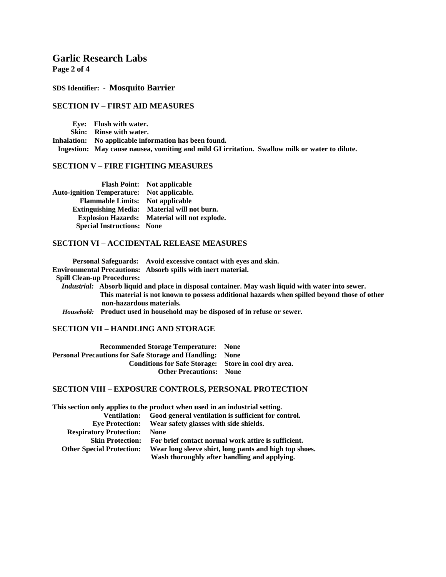**Page 2 of 4**

#### **SDS Identifier: - Mosquito Barrier**

#### **SECTION IV – FIRST AID MEASURES**

 **Eye: Flush with water. Skin: Rinse with water. Inhalation: No applicable information has been found. Ingestion: May cause nausea, vomiting and mild GI irritation. Swallow milk or water to dilute.**

# **SECTION V – FIRE FIGHTING MEASURES**

|                                                   | <b>Flash Point:</b> Not applicable            |
|---------------------------------------------------|-----------------------------------------------|
| <b>Auto-ignition Temperature:</b> Not applicable. |                                               |
| <b>Flammable Limits:</b> Not applicable           |                                               |
| <b>Extinguishing Media:</b>                       | Material will not burn.                       |
|                                                   | Explosion Hazards: Material will not explode. |
| <b>Special Instructions: None</b>                 |                                               |

#### **SECTION VI – ACCIDENTAL RELEASE MEASURES**

 **Personal Safeguards: Avoid excessive contact with eyes and skin. Environmental Precautions: Absorb spills with inert material. Spill Clean-up Procedures:**   *Industrial:* **Absorb liquid and place in disposal container. May wash liquid with water into sewer. This material is not known to possess additional hazards when spilled beyond those of other non-hazardous materials.**   *Household:* **Product used in household may be disposed of in refuse or sewer.**

## **SECTION VII – HANDLING AND STORAGE**

| <b>Recommended Storage Temperature: None</b>                    |  |
|-----------------------------------------------------------------|--|
| <b>Personal Precautions for Safe Storage and Handling: None</b> |  |
| Conditions for Safe Storage: Store in cool dry area.            |  |
| <b>Other Precautions:</b> None                                  |  |

#### **SECTION VIII – EXPOSURE CONTROLS, PERSONAL PROTECTION**

|                                  | This section only applies to the product when used in an industrial setting. |
|----------------------------------|------------------------------------------------------------------------------|
| <b>Ventilation:</b>              | Good general ventilation is sufficient for control.                          |
| <b>Eve Protection:</b>           | Wear safety glasses with side shields.                                       |
| <b>Respiratory Protection:</b>   | <b>None</b>                                                                  |
| <b>Skin Protection:</b>          | For brief contact normal work attire is sufficient.                          |
| <b>Other Special Protection:</b> | Wear long sleeve shirt, long pants and high top shoes.                       |
|                                  | Wash thoroughly after handling and applying.                                 |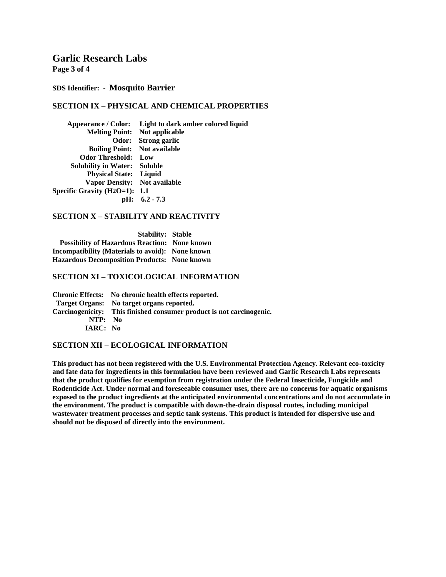**Page 3 of 4**

#### **SDS Identifier: - Mosquito Barrier**

# **SECTION IX – PHYSICAL AND CHEMICAL PROPERTIES**

| Appearance / Color: Light to dark amber colored liquid |
|--------------------------------------------------------|
| <b>Melting Point:</b> Not applicable                   |
| Odor: Strong garlic                                    |
| <b>Boiling Point:</b> Not available                    |
| <b>Odor Threshold:</b> Low                             |
| <b>Solubility in Water: Soluble</b>                    |
| <b>Physical State:</b> Liquid                          |
| Vapor Density: Not available                           |
| Specific Gravity $(H2O=1)$ : 1.1                       |
| $\text{pH}: 6.2 - 7.3$                                 |
|                                                        |

## **SECTION X – STABILITY AND REACTIVITY**

 **Stability: Stable Possibility of Hazardous Reaction: None known Incompatibility (Materials to avoid): None known Hazardous Decomposition Products: None known**

### **SECTION XI – TOXICOLOGICAL INFORMATION**

**Chronic Effects: No chronic health effects reported. Target Organs: No target organs reported. Carcinogenicity: This finished consumer product is not carcinogenic. NTP: No IARC: No**

## **SECTION XII – ECOLOGICAL INFORMATION**

**This product has not been registered with the U.S. Environmental Protection Agency. Relevant eco-toxicity and fate data for ingredients in this formulation have been reviewed and Garlic Research Labs represents that the product qualifies for exemption from registration under the Federal Insecticide, Fungicide and Rodenticide Act. Under normal and foreseeable consumer uses, there are no concerns for aquatic organisms exposed to the product ingredients at the anticipated environmental concentrations and do not accumulate in the environment. The product is compatible with down-the-drain disposal routes, including municipal wastewater treatment processes and septic tank systems. This product is intended for dispersive use and should not be disposed of directly into the environment.**